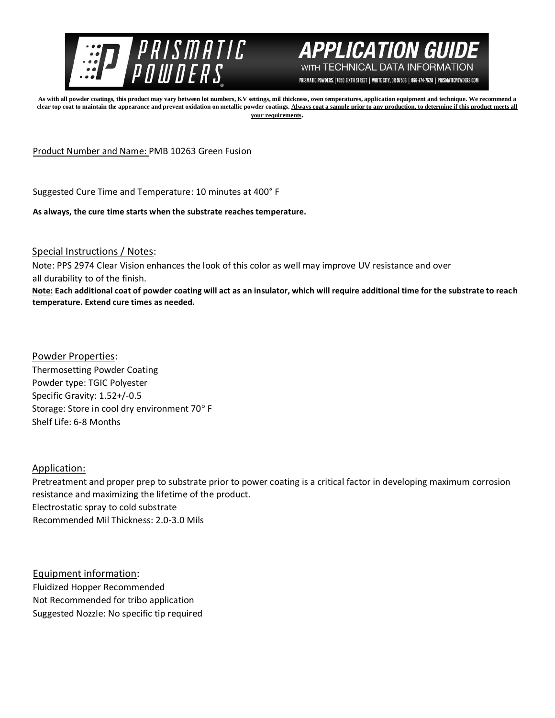



PRISMATIC POWDERS. | 7050 SIXTH STREET | WHITE CITY, OR 97503 | 866-774-7628 | PRISMATICPOWDERS.COM

**As with all powder coatings, this product may vary between lot numbers, KV settings, mil thickness, oven temperatures, application equipment and technique. We recommend a**  clear top coat to maintain the appearance and prevent oxidation on metallic powder coatings. Always coat a sample prior to any production, to determine if this product meets all **your requirements.** 

Product Number and Name: PMB 10263 Green Fusion

Suggested Cure Time and Temperature: 10 minutes at 400° F

**As always, the cure time starts when the substrate reaches temperature.**

Special Instructions / Notes:

Note: PPS 2974 Clear Vision enhances the look of this color as well may improve UV resistance and over all durability to of the finish.

**Note: Each additional coat of powder coating will act as an insulator, which will require additional time for the substrate to reach temperature. Extend cure times as needed.** 

Powder Properties: Thermosetting Powder Coating Powder type: TGIC Polyester Specific Gravity: 1.52+/-0.5 Storage: Store in cool dry environment 70° F Shelf Life: 6-8 Months

Application:

Pretreatment and proper prep to substrate prior to power coating is a critical factor in developing maximum corrosion resistance and maximizing the lifetime of the product. Electrostatic spray to cold substrate Recommended Mil Thickness: 2.0-3.0 Mils

Equipment information: Fluidized Hopper Recommended Not Recommended for tribo application Suggested Nozzle: No specific tip required